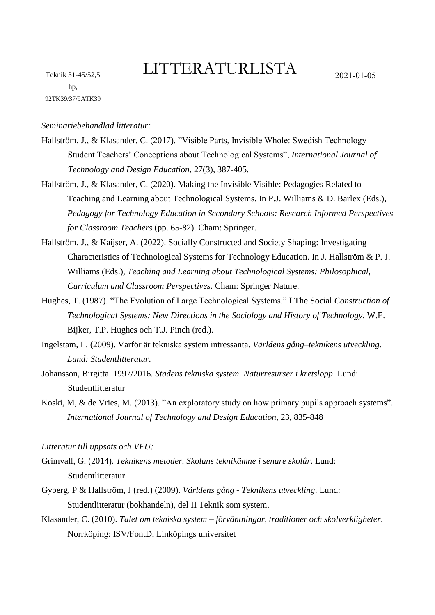## LITTERATURLISTA 2021-01-05

*Seminariebehandlad litteratur:*

- Hallström, J., & Klasander, C. (2017). "Visible Parts, Invisible Whole: Swedish Technology Student Teachers' Conceptions about Technological Systems", *International Journal of Technology and Design Education*, 27(3), 387-405.
- Hallström, J., & Klasander, C. (2020). Making the Invisible Visible: Pedagogies Related to Teaching and Learning about Technological Systems. In P.J. Williams & D. Barlex (Eds.), *Pedagogy for Technology Education in Secondary Schools: Research Informed Perspectives for Classroom Teachers* (pp. 65-82). Cham: Springer.
- Hallström, J., & Kaijser, A. (2022). Socially Constructed and Society Shaping: Investigating Characteristics of Technological Systems for Technology Education. In J. Hallström & P. J. Williams (Eds.), *Teaching and Learning about Technological Systems: Philosophical, Curriculum and Classroom Perspectives*. Cham: Springer Nature.
- Hughes, T. (1987). "The Evolution of Large Technological Systems." I The Social *Construction of Technological Systems: New Directions in the Sociology and History of Technology*, W.E. Bijker, T.P. Hughes och T.J. Pinch (red.).
- Ingelstam, L. (2009). Varför är tekniska system intressanta. *Världens gång–teknikens utveckling. Lund: Studentlitteratur*.
- Johansson, Birgitta. 1997/2016. *Stadens tekniska system. Naturresurser i kretslopp*. Lund: Studentlitteratur
- Koski, M, & de Vries, M. (2013). "An exploratory study on how primary pupils approach systems". *International Journal of Technology and Design Education,* 23, 835-848
- *Litteratur till uppsats och VFU:*
- Grimvall, G. (2014). *Teknikens metoder. Skolans teknikämne i senare skolår*. Lund: Studentlitteratur
- Gyberg, P & Hallström, J (red.) (2009). *Världens gång - Teknikens utveckling*. Lund: Studentlitteratur (bokhandeln), del II Teknik som system.
- Klasander, C. (2010). *Talet om tekniska system – förväntningar, traditioner och skolverkligheter*. Norrköping: ISV/FontD, Linköpings universitet